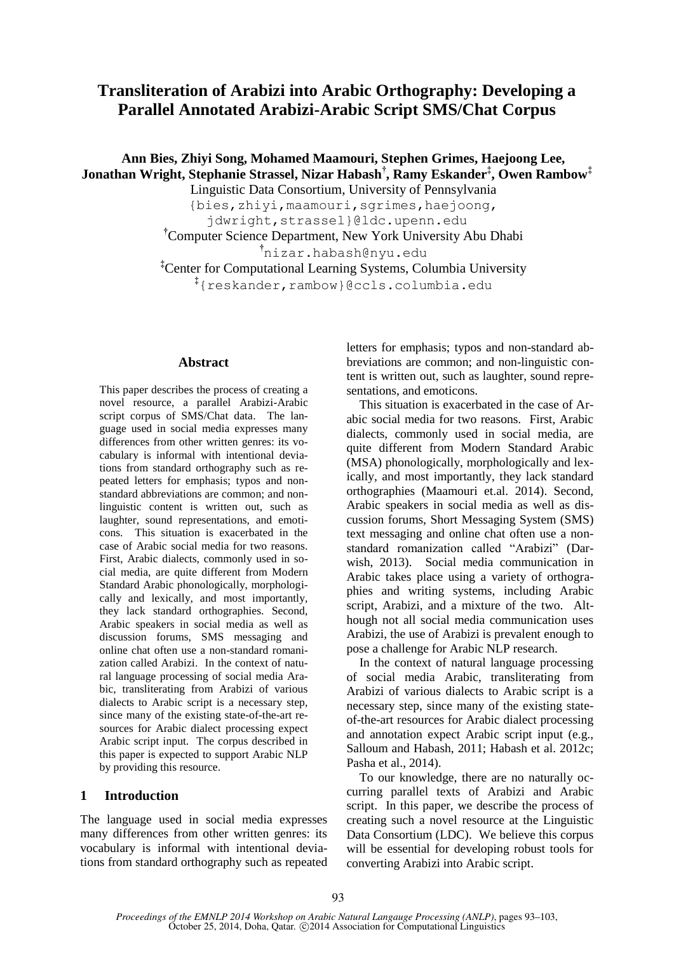# **Transliteration of Arabizi into Arabic Orthography: Developing a Parallel Annotated Arabizi-Arabic Script SMS/Chat Corpus**

# **Ann Bies, Zhiyi Song, Mohamed Maamouri, Stephen Grimes, Haejoong Lee, Jonathan Wright, Stephanie Strassel, Nizar Habash† , Ramy Eskander‡ , Owen Rambow‡**

Linguistic Data Consortium, University of Pennsylvania {bies,zhiyi,maamouri,sgrimes,haejoong, jdwright,strassel}@ldc.upenn.edu **†**Computer Science Department, New York University Abu Dhabi

**†** nizar.habash@nyu.edu

**‡**Center for Computational Learning Systems, Columbia University

**‡** {reskander,rambow}@ccls.columbia.edu

### **Abstract**

This paper describes the process of creating a novel resource, a parallel Arabizi-Arabic script corpus of SMS/Chat data. The language used in social media expresses many differences from other written genres: its vocabulary is informal with intentional deviations from standard orthography such as repeated letters for emphasis; typos and nonstandard abbreviations are common; and nonlinguistic content is written out, such as laughter, sound representations, and emoticons. This situation is exacerbated in the case of Arabic social media for two reasons. First, Arabic dialects, commonly used in social media, are quite different from Modern Standard Arabic phonologically, morphologically and lexically, and most importantly, they lack standard orthographies. Second, Arabic speakers in social media as well as discussion forums, SMS messaging and online chat often use a non-standard romanization called Arabizi. In the context of natural language processing of social media Arabic, transliterating from Arabizi of various dialects to Arabic script is a necessary step. since many of the existing state-of-the-art resources for Arabic dialect processing expect Arabic script input. The corpus described in this paper is expected to support Arabic NLP by providing this resource.

# **1 Introduction**

The language used in social media expresses many differences from other written genres: its vocabulary is informal with intentional deviations from standard orthography such as repeated letters for emphasis; typos and non-standard abbreviations are common; and non-linguistic content is written out, such as laughter, sound representations, and emoticons.

This situation is exacerbated in the case of Arabic social media for two reasons. First, Arabic dialects, commonly used in social media, are quite different from Modern Standard Arabic (MSA) phonologically, morphologically and lexically, and most importantly, they lack standard orthographies (Maamouri et.al. 2014). Second, Arabic speakers in social media as well as discussion forums, Short Messaging System (SMS) text messaging and online chat often use a nonstandard romanization called "Arabizi" (Darwish, 2013). Social media communication in Arabic takes place using a variety of orthographies and writing systems, including Arabic script, Arabizi, and a mixture of the two. Although not all social media communication uses Arabizi, the use of Arabizi is prevalent enough to pose a challenge for Arabic NLP research.

In the context of natural language processing of social media Arabic, transliterating from Arabizi of various dialects to Arabic script is a necessary step, since many of the existing stateof-the-art resources for Arabic dialect processing and annotation expect Arabic script input (e.g., Salloum and Habash, 2011; Habash et al. 2012c; Pasha et al., 2014).

To our knowledge, there are no naturally occurring parallel texts of Arabizi and Arabic script. In this paper, we describe the process of creating such a novel resource at the Linguistic Data Consortium (LDC). We believe this corpus will be essential for developing robust tools for converting Arabizi into Arabic script.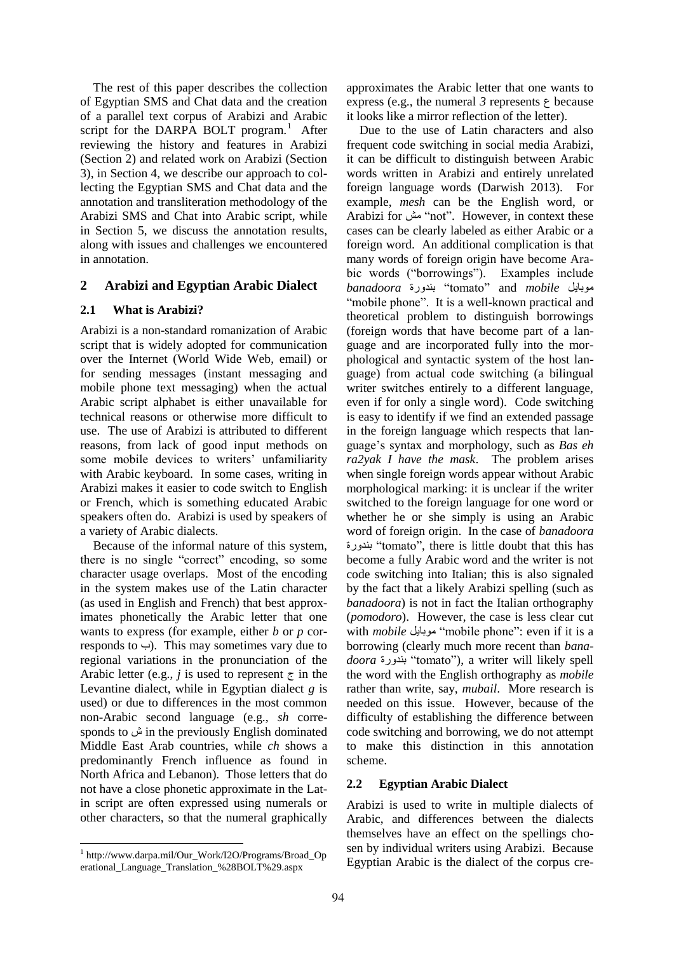The rest of this paper describes the collection of Egyptian SMS and Chat data and the creation of a parallel text corpus of Arabizi and Arabic script for the DARPA BOLT program.<sup>1</sup> After reviewing the history and features in Arabizi (Section 2) and related work on Arabizi (Section 3), in Section 4, we describe our approach to collecting the Egyptian SMS and Chat data and the annotation and transliteration methodology of the Arabizi SMS and Chat into Arabic script, while in Section 5, we discuss the annotation results, along with issues and challenges we encountered in annotation.

# **2 Arabizi and Egyptian Arabic Dialect**

## **2.1 What is Arabizi?**

Arabizi is a non-standard romanization of Arabic script that is widely adopted for communication over the Internet (World Wide Web, email) or for sending messages (instant messaging and mobile phone text messaging) when the actual Arabic script alphabet is either unavailable for technical reasons or otherwise more difficult to use. The use of Arabizi is attributed to different reasons, from lack of good input methods on some mobile devices to writers' unfamiliarity with Arabic keyboard. In some cases, writing in Arabizi makes it easier to code switch to English or French, which is something educated Arabic speakers often do. Arabizi is used by speakers of a variety of Arabic dialects.

Because of the informal nature of this system, there is no single "correct" encoding, so some character usage overlaps. Most of the encoding in the system makes use of the Latin character (as used in English and French) that best approximates phonetically the Arabic letter that one wants to express (for example, either *b* or *p* corresponds to  $\leftrightarrow$ ). This may sometimes vary due to regional variations in the pronunciation of the Arabic letter (e.g., *j* is used to represent  $\tau$  in the Levantine dialect, while in Egyptian dialect *g* is used) or due to differences in the most common non-Arabic second language (e.g., *sh* corresponds to ش in the previously English dominated Middle East Arab countries, while *ch* shows a predominantly French influence as found in North Africa and Lebanon). Those letters that do not have a close phonetic approximate in the Latin script are often expressed using numerals or other characters, so that the numeral graphically

approximates the Arabic letter that one wants to express (e.g., the numeral 3 represents  $\epsilon$  because it looks like a mirror reflection of the letter).

Due to the use of Latin characters and also frequent code switching in social media Arabizi, it can be difficult to distinguish between Arabic words written in Arabizi and entirely unrelated foreign language words (Darwish 2013). For example, *mesh* can be the English word, or Arabizi for مش" not". However, in context these cases can be clearly labeled as either Arabic or a foreign word. An additional complication is that many words of foreign origin have become Arabic words ("borrowings"). Examples include *banadoora* بندورة" tomato" and *mobile* موبايل "mobile phone". It is a well-known practical and theoretical problem to distinguish borrowings (foreign words that have become part of a language and are incorporated fully into the morphological and syntactic system of the host language) from actual code switching (a bilingual writer switches entirely to a different language, even if for only a single word). Code switching is easy to identify if we find an extended passage in the foreign language which respects that language's syntax and morphology, such as *Bas eh ra2yak I have the mask*. The problem arises when single foreign words appear without Arabic morphological marking: it is unclear if the writer switched to the foreign language for one word or whether he or she simply is using an Arabic word of foreign origin. In the case of *banadoora* بندورة" tomato", there is little doubt that this has become a fully Arabic word and the writer is not code switching into Italian; this is also signaled by the fact that a likely Arabizi spelling (such as *banadoora*) is not in fact the Italian orthography (*pomodoro*). However, the case is less clear cut with *mobile* موبايل" mobile phone": even if it is a borrowing (clearly much more recent than *banadoora* بندورة" tomato"), a writer will likely spell the word with the English orthography as *mobile* rather than write, say, *mubail*. More research is needed on this issue. However, because of the difficulty of establishing the difference between code switching and borrowing, we do not attempt to make this distinction in this annotation scheme.

## **2.2 Egyptian Arabic Dialect**

Arabizi is used to write in multiple dialects of Arabic, and differences between the dialects themselves have an effect on the spellings chosen by individual writers using Arabizi. Because Egyptian Arabic is the dialect of the corpus cre-

<sup>1</sup> http://www.darpa.mil/Our\_Work/I2O/Programs/Broad\_Op erational\_Language\_Translation\_%28BOLT%29.aspx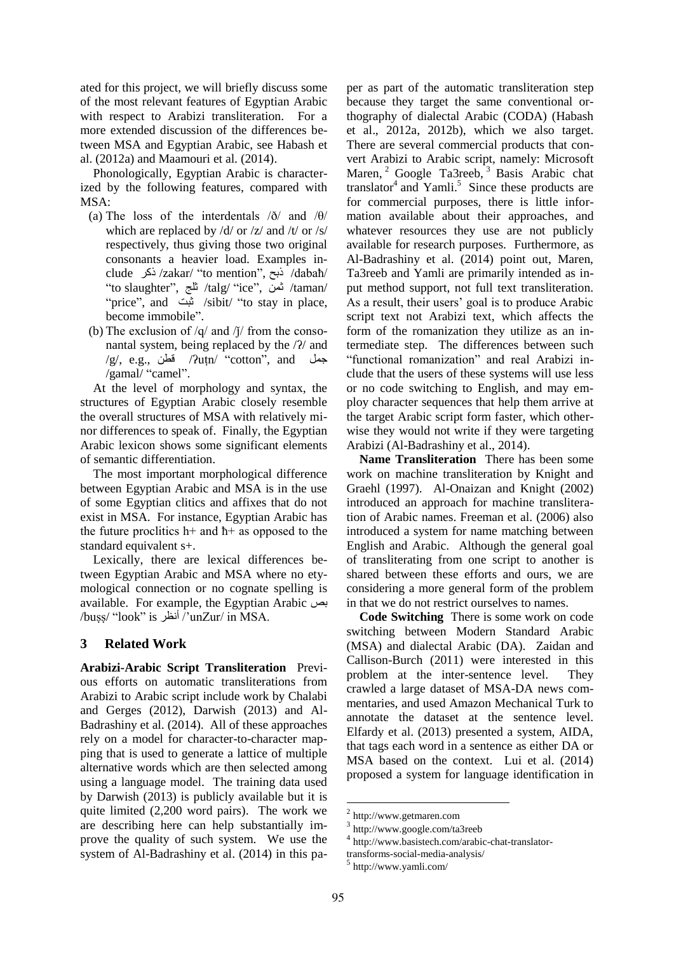ated for this project, we will briefly discuss some of the most relevant features of Egyptian Arabic with respect to Arabizi transliteration. For a more extended discussion of the differences between MSA and Egyptian Arabic, see Habash et al. (2012a) and Maamouri et al. (2014).

Phonologically, Egyptian Arabic is characterized by the following features, compared with MSA:

- (a) The loss of the interdentals  $\partial/\partial t$  and  $\partial/\partial t$ which are replaced by /d/ or /z/ and /t/ or /s/ respectively, thus giving those two original consonants a heavier load. Examples include ذكر /zakar/ "to mention", ذبح /dabaħ/ "to slaughter", ثلج /talg/ "ice", ثمن /taman/ "price", and ثبت /sibit/ "to stay in place, become immobile".
- (b) The exclusion of  $/q$  and  $/j$  from the consonantal system, being replaced by the /ʔ/ and /g/, e.g., قطن /ʔuṭn/ "cotton", and جمل /gamal/ "camel".

At the level of morphology and syntax, the structures of Egyptian Arabic closely resemble the overall structures of MSA with relatively minor differences to speak of. Finally, the Egyptian Arabic lexicon shows some significant elements of semantic differentiation.

The most important morphological difference between Egyptian Arabic and MSA is in the use of some Egyptian clitics and affixes that do not exist in MSA. For instance, Egyptian Arabic has the future proclitics  $h$ + and  $h$ + as opposed to the standard equivalent s+.

Lexically, there are lexical differences between Egyptian Arabic and MSA where no etymological connection or no cognate spelling is available. For example, the Egyptian Arabic بص /buṣṣ/ "look" is أنظر /'unZur/ in MSA.

## **3 Related Work**

**Arabizi-Arabic Script Transliteration** Previous efforts on automatic transliterations from Arabizi to Arabic script include work by Chalabi and Gerges (2012), Darwish (2013) and Al-Badrashiny et al. (2014). All of these approaches rely on a model for character-to-character mapping that is used to generate a lattice of multiple alternative words which are then selected among using a language model. The training data used by Darwish (2013) is publicly available but it is quite limited (2,200 word pairs). The work we are describing here can help substantially improve the quality of such system. We use the system of Al-Badrashiny et al. (2014) in this pa-

per as part of the automatic transliteration step because they target the same conventional orthography of dialectal Arabic (CODA) (Habash et al., 2012a, 2012b), which we also target. There are several commercial products that convert Arabizi to Arabic script, namely: Microsoft Maren, <sup>2</sup> Google Ta3reeb, <sup>3</sup> Basis Arabic chat translator<sup>4</sup> and Yamli.<sup>5</sup> Since these products are for commercial purposes, there is little information available about their approaches, and whatever resources they use are not publicly available for research purposes. Furthermore, as Al-Badrashiny et al. (2014) point out, Maren, Ta3reeb and Yamli are primarily intended as input method support, not full text transliteration. As a result, their users' goal is to produce Arabic script text not Arabizi text, which affects the form of the romanization they utilize as an intermediate step. The differences between such "functional romanization" and real Arabizi include that the users of these systems will use less or no code switching to English, and may employ character sequences that help them arrive at the target Arabic script form faster, which otherwise they would not write if they were targeting Arabizi (Al-Badrashiny et al., 2014).

**Name Transliteration** There has been some work on machine transliteration by Knight and Graehl (1997). Al-Onaizan and Knight (2002) introduced an approach for machine transliteration of Arabic names. Freeman et al. (2006) also introduced a system for name matching between English and Arabic. Although the general goal of transliterating from one script to another is shared between these efforts and ours, we are considering a more general form of the problem in that we do not restrict ourselves to names.

**Code Switching** There is some work on code switching between Modern Standard Arabic (MSA) and dialectal Arabic (DA). Zaidan and Callison-Burch (2011) were interested in this problem at the inter-sentence level. They crawled a large dataset of MSA-DA news commentaries, and used Amazon Mechanical Turk to annotate the dataset at the sentence level. Elfardy et al. (2013) presented a system, AIDA, that tags each word in a sentence as either DA or MSA based on the context. Lui et al. (2014) proposed a system for language identification in

<sup>2</sup> http://www.getmaren.com

<sup>3</sup> http://www.google.com/ta3reeb

<sup>4</sup> http://www.basistech.com/arabic-chat-translator-

transforms-social-media-analysis/

<sup>5</sup> http://www.yamli.com/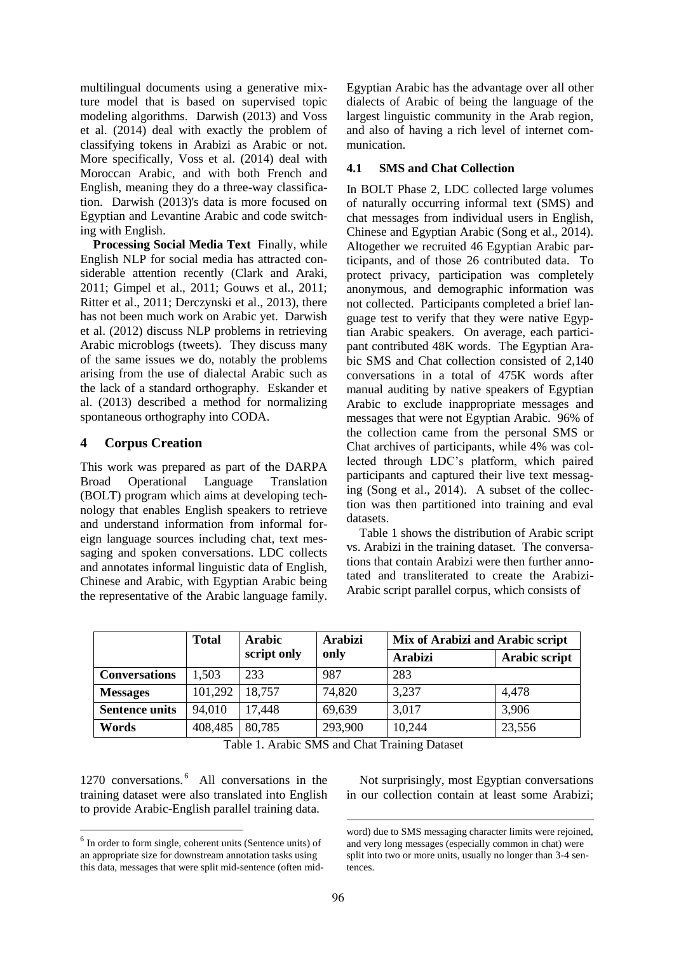multilingual documents using a generative mixture model that is based on supervised topic modeling algorithms. Darwish (2013) and Voss et al. (2014) deal with exactly the problem of classifying tokens in Arabizi as Arabic or not. More specifically, Voss et al. (2014) deal with Moroccan Arabic, and with both French and English, meaning they do a three-way classification. Darwish (2013)'s data is more focused on Egyptian and Levantine Arabic and code switching with English.

**Processing Social Media Text** Finally, while English NLP for social media has attracted considerable attention recently (Clark and Araki, 2011; Gimpel et al., 2011; Gouws et al., 2011; Ritter et al., 2011; Derczynski et al., 2013), there has not been much work on Arabic yet. Darwish et al. (2012) discuss NLP problems in retrieving Arabic microblogs (tweets). They discuss many of the same issues we do, notably the problems arising from the use of dialectal Arabic such as the lack of a standard orthography. Eskander et al. (2013) described a method for normalizing spontaneous orthography into CODA.

# **4 Corpus Creation**

This work was prepared as part of the DARPA Broad Operational Language Translation (BOLT) program which aims at developing technology that enables English speakers to retrieve and understand information from informal foreign language sources including chat, text messaging and spoken conversations. LDC collects and annotates informal linguistic data of English, Chinese and Arabic, with Egyptian Arabic being the representative of the Arabic language family. Egyptian Arabic has the advantage over all other dialects of Arabic of being the language of the largest linguistic community in the Arab region, and also of having a rich level of internet communication.

# **4.1 SMS and Chat Collection**

In BOLT Phase 2, LDC collected large volumes of naturally occurring informal text (SMS) and chat messages from individual users in English, Chinese and Egyptian Arabic (Song et al., 2014). Altogether we recruited 46 Egyptian Arabic participants, and of those 26 contributed data. To protect privacy, participation was completely anonymous, and demographic information was not collected. Participants completed a brief language test to verify that they were native Egyptian Arabic speakers. On average, each participant contributed 48K words. The Egyptian Arabic SMS and Chat collection consisted of 2,140 conversations in a total of 475K words after manual auditing by native speakers of Egyptian Arabic to exclude inappropriate messages and messages that were not Egyptian Arabic. 96% of the collection came from the personal SMS or Chat archives of participants, while 4% was collected through LDC's platform, which paired participants and captured their live text messaging (Song et al., 2014). A subset of the collection was then partitioned into training and eval datasets.

Table 1 shows the distribution of Arabic script vs. Arabizi in the training dataset. The conversations that contain Arabizi were then further annotated and transliterated to create the Arabizi-Arabic script parallel corpus, which consists of

|                       | <b>Total</b> | <b>Arabic</b><br>script only | <b>Arabizi</b><br>only | Mix of Arabizi and Arabic script |               |
|-----------------------|--------------|------------------------------|------------------------|----------------------------------|---------------|
|                       |              |                              |                        | <b>Arabizi</b>                   | Arabic script |
| <b>Conversations</b>  | 1,503        | 233                          | 987                    | 283                              |               |
| <b>Messages</b>       | 101,292      | 18,757                       | 74,820                 | 3,237                            | 4,478         |
| <b>Sentence units</b> | 94,010       | 17,448                       | 69,639                 | 3,017                            | 3,906         |
| Words                 | 408,485      | 80,785                       | 293,900                | 10,244                           | 23,556        |

Table 1. Arabic SMS and Chat Training Dataset

1270 conversations. <sup>6</sup> All conversations in the training dataset were also translated into English to provide Arabic-English parallel training data.

Not surprisingly, most Egyptian conversations in our collection contain at least some Arabizi;

<sup>&</sup>lt;sup>6</sup> In order to form single, coherent units (Sentence units) of an appropriate size for downstream annotation tasks using this data, messages that were split mid-sentence (often mid-

word) due to SMS messaging character limits were rejoined, and very long messages (especially common in chat) were split into two or more units, usually no longer than 3-4 sentences.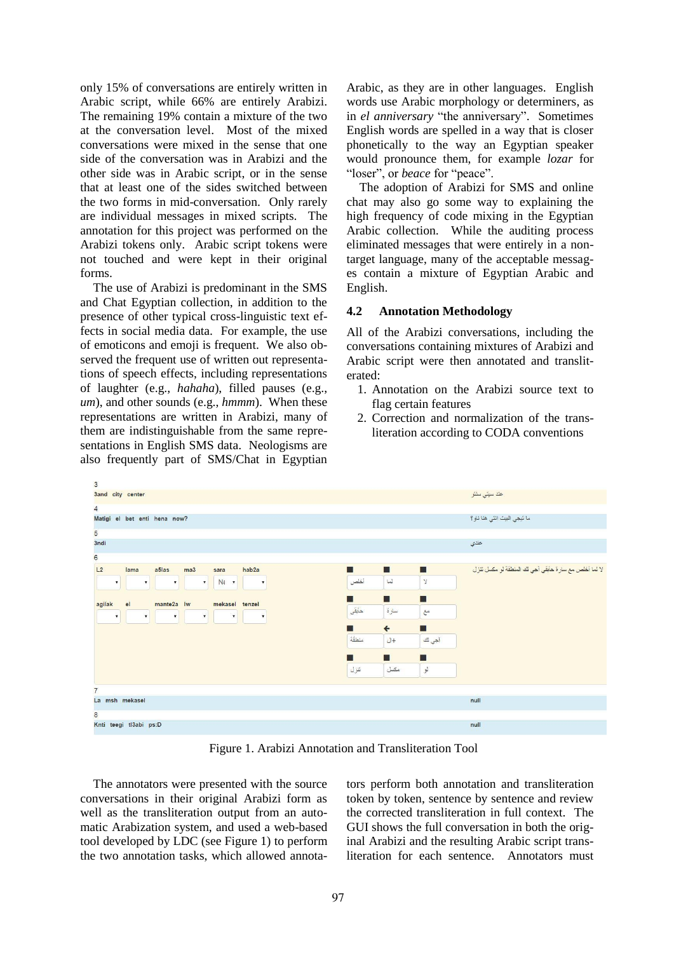only 15% of conversations are entirely written in Arabic script, while 66% are entirely Arabizi. The remaining 19% contain a mixture of the two at the conversation level. Most of the mixed conversations were mixed in the sense that one side of the conversation was in Arabizi and the other side was in Arabic script, or in the sense that at least one of the sides switched between the two forms in mid-conversation. Only rarely are individual messages in mixed scripts. The annotation for this project was performed on the Arabizi tokens only. Arabic script tokens were not touched and were kept in their original forms.

The use of Arabizi is predominant in the SMS and Chat Egyptian collection, in addition to the presence of other typical cross-linguistic text effects in social media data. For example, the use of emoticons and emoji is frequent. We also observed the frequent use of written out representations of speech effects, including representations of laughter (e.g., *hahaha*), filled pauses (e.g., *um*), and other sounds (e.g., *hmmm*). When these representations are written in Arabizi, many of them are indistinguishable from the same representations in English SMS data. Neologisms are also frequently part of SMS/Chat in Egyptian

Arabic, as they are in other languages. English words use Arabic morphology or determiners, as in *el anniversary* "the anniversary". Sometimes English words are spelled in a way that is closer phonetically to the way an Egyptian speaker would pronounce them, for example *lozar* for "loser", or *beace* for "peace".

The adoption of Arabizi for SMS and online chat may also go some way to explaining the high frequency of code mixing in the Egyptian Arabic collection. While the auditing process eliminated messages that were entirely in a nontarget language, many of the acceptable messages contain a mixture of Egyptian Arabic and English.

## **4.2 Annotation Methodology**

All of the Arabizi conversations, including the conversations containing mixtures of Arabizi and Arabic script were then annotated and transliterated:

- 1. Annotation on the Arabizi source text to flag certain features
- 2. Correction and normalization of the transliteration according to CODA conventions

| $\overline{3}$                                                                                                                                                            |                                 |                                                       |  |  |  |
|---------------------------------------------------------------------------------------------------------------------------------------------------------------------------|---------------------------------|-------------------------------------------------------|--|--|--|
| 3and city center                                                                                                                                                          |                                 | عند سيتى سنتر                                         |  |  |  |
| $\overline{4}$                                                                                                                                                            |                                 |                                                       |  |  |  |
| Matigi el bet enti hena now?                                                                                                                                              | ما تيجي البيت انتي هنا ناو ؟    |                                                       |  |  |  |
| 5                                                                                                                                                                         |                                 |                                                       |  |  |  |
| 3ndi                                                                                                                                                                      |                                 | عندي                                                  |  |  |  |
| $6 \nvert$                                                                                                                                                                |                                 |                                                       |  |  |  |
| L2<br>lama<br>a5las<br>ma3<br>hab2a<br>sara                                                                                                                               | П<br>П<br>$\blacksquare$        | لا لما أخلص مع سارة حابقي آجي لك المنطقة لو مكمل تنزل |  |  |  |
| Nt +<br>$\pmb{\mathbf{v}}$<br>$\boldsymbol{\pi}$<br>$\pmb{\mathrm{v}}$<br>$\overline{\mathbf{v}}$<br>$\mathbf{v}$                                                         | أخلص<br>$\mathbf y$<br>$\omega$ |                                                       |  |  |  |
| П<br>■<br>٠                                                                                                                                                               |                                 |                                                       |  |  |  |
| el<br>mante2a lw<br>mekasel tenzel<br>agilak<br>$\pmb{\mathsf{v}}$<br>$\pmb{\mathrm{v}}$<br>$\overline{\mathbf{r}}$<br>$\mathbf{v}$<br>$\mathbf{v}$<br>$\pmb{\mathrm{v}}$ | حابقى<br>سارة<br>$\tilde{c}$    |                                                       |  |  |  |
|                                                                                                                                                                           | $\Leftarrow$<br>■<br>п          |                                                       |  |  |  |
|                                                                                                                                                                           | منطقة<br>آجي لك<br>$U+$         |                                                       |  |  |  |
|                                                                                                                                                                           | П<br>п<br>П                     |                                                       |  |  |  |
|                                                                                                                                                                           | لمو<br>تنزل<br>مكسل             |                                                       |  |  |  |
|                                                                                                                                                                           |                                 |                                                       |  |  |  |
| $\overline{7}$                                                                                                                                                            |                                 |                                                       |  |  |  |
| La msh mekasel                                                                                                                                                            | null                            |                                                       |  |  |  |
| $\bf{8}$                                                                                                                                                                  |                                 |                                                       |  |  |  |
| Knti teegi tl3abi ps:D                                                                                                                                                    | null                            |                                                       |  |  |  |

Figure 1. Arabizi Annotation and Transliteration Tool

The annotators were presented with the source conversations in their original Arabizi form as well as the transliteration output from an automatic Arabization system, and used a web-based tool developed by LDC (see Figure 1) to perform the two annotation tasks, which allowed annotators perform both annotation and transliteration token by token, sentence by sentence and review the corrected transliteration in full context. The GUI shows the full conversation in both the original Arabizi and the resulting Arabic script transliteration for each sentence. Annotators must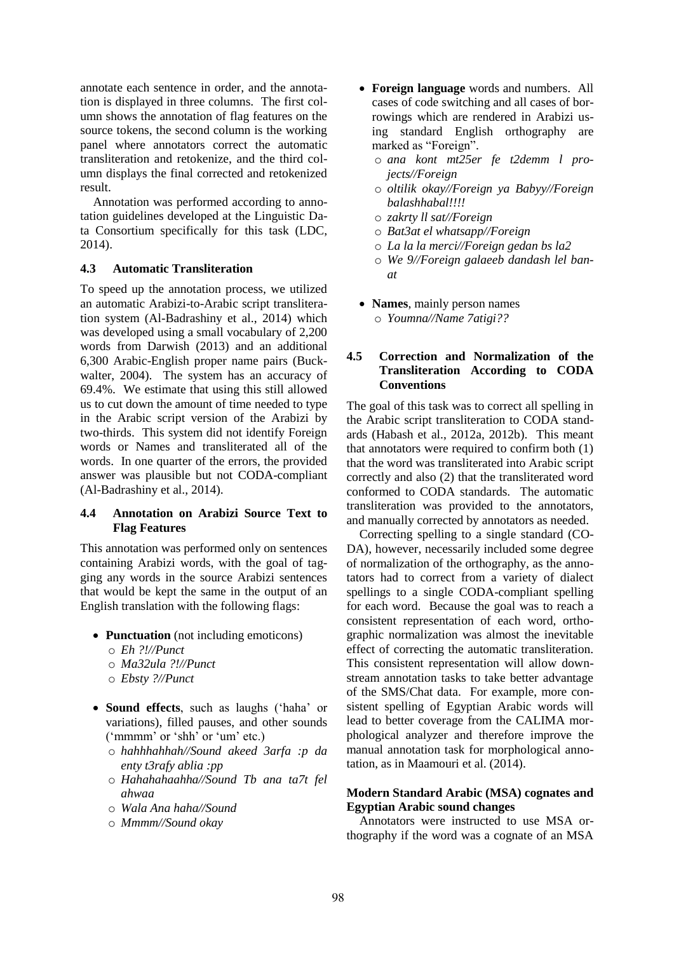annotate each sentence in order, and the annotation is displayed in three columns. The first column shows the annotation of flag features on the source tokens, the second column is the working panel where annotators correct the automatic transliteration and retokenize, and the third column displays the final corrected and retokenized result.

Annotation was performed according to annotation guidelines developed at the Linguistic Data Consortium specifically for this task (LDC, 2014).

## **4.3 Automatic Transliteration**

To speed up the annotation process, we utilized an automatic Arabizi-to-Arabic script transliteration system (Al-Badrashiny et al., 2014) which was developed using a small vocabulary of 2,200 words from Darwish (2013) and an additional 6,300 Arabic-English proper name pairs (Buckwalter, 2004). The system has an accuracy of 69.4%. We estimate that using this still allowed us to cut down the amount of time needed to type in the Arabic script version of the Arabizi by two-thirds. This system did not identify Foreign words or Names and transliterated all of the words. In one quarter of the errors, the provided answer was plausible but not CODA-compliant (Al-Badrashiny et al., 2014).

# **4.4 Annotation on Arabizi Source Text to Flag Features**

This annotation was performed only on sentences containing Arabizi words, with the goal of tagging any words in the source Arabizi sentences that would be kept the same in the output of an English translation with the following flags:

- **Punctuation** (not including emoticons)
	- o *Eh ?!//Punct*
	- o *Ma32ula ?!//Punct*
	- o *Ebsty ?//Punct*
- **Sound effects**, such as laughs ('haha' or variations), filled pauses, and other sounds ('mmmm' or 'shh' or 'um' etc.)
	- o *hahhhahhah//Sound akeed 3arfa :p da enty t3rafy ablia :pp*
	- o *Hahahahaahha//Sound Tb ana ta7t fel ahwaa*
	- o *Wala Ana haha//Sound*
	- o *Mmmm//Sound okay*
- **Foreign language** words and numbers. All cases of code switching and all cases of borrowings which are rendered in Arabizi using standard English orthography are marked as "Foreign".
	- o *ana kont mt25er fe t2demm l projects//Foreign*
	- o *oltilik okay//Foreign ya Babyy//Foreign balashhabal!!!!*
	- o *zakrty ll sat//Foreign*
	- o *Bat3at el whatsapp//Foreign*
	- o *La la la merci//Foreign gedan bs la2*
	- o *We 9//Foreign galaeeb dandash lel banat*
- **Names**, mainly person names o *Youmna//Name 7atigi??*

# **4.5 Correction and Normalization of the Transliteration According to CODA Conventions**

The goal of this task was to correct all spelling in the Arabic script transliteration to CODA standards (Habash et al., 2012a, 2012b). This meant that annotators were required to confirm both (1) that the word was transliterated into Arabic script correctly and also (2) that the transliterated word conformed to CODA standards. The automatic transliteration was provided to the annotators, and manually corrected by annotators as needed.

Correcting spelling to a single standard (CO-DA), however, necessarily included some degree of normalization of the orthography, as the annotators had to correct from a variety of dialect spellings to a single CODA-compliant spelling for each word. Because the goal was to reach a consistent representation of each word, orthographic normalization was almost the inevitable effect of correcting the automatic transliteration. This consistent representation will allow downstream annotation tasks to take better advantage of the SMS/Chat data. For example, more consistent spelling of Egyptian Arabic words will lead to better coverage from the CALIMA morphological analyzer and therefore improve the manual annotation task for morphological annotation, as in Maamouri et al. (2014).

### **Modern Standard Arabic (MSA) cognates and Egyptian Arabic sound changes**

Annotators were instructed to use MSA orthography if the word was a cognate of an MSA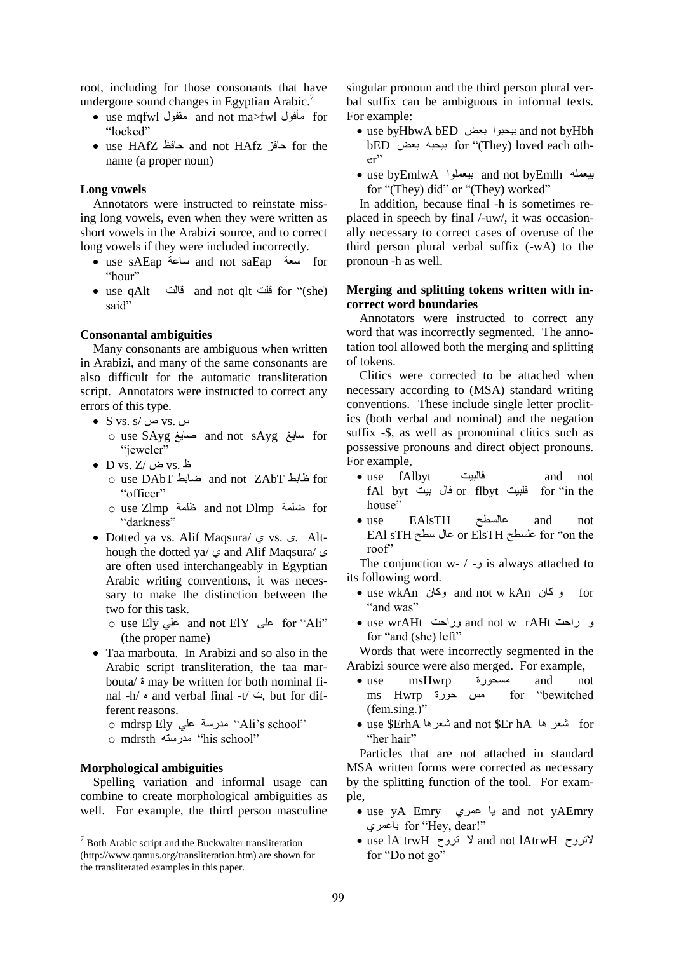root, including for those consonants that have undergone sound changes in Egyptian Arabic.<sup>7</sup>

- use mqfwl مقفول and not ma>fwl مأفول for "locked"
- use HAfZ حافظ and not HAfz حافز for the name (a proper noun)

#### **Long vowels**

Annotators were instructed to reinstate missing long vowels, even when they were written as short vowels in the Arabizi source, and to correct long vowels if they were included incorrectly.

- use sAEap ساعة and not saEap سعة for "hour"
- use qAlt قالت and not qlt قلت for "(she) said"

#### **Consonantal ambiguities**

Many consonants are ambiguous when written in Arabizi, and many of the same consonants are also difficult for the automatic transliteration script. Annotators were instructed to correct any errors of this type.

- S vs. s/ ص vs. س
	- o use SAyg صايغ and not sAyg سايغ for "jeweler"
- D vs. Z/ ض vs. ظ
	- o use DAbT ضابط and not ZAbT ظابط for "officer"
	- o use Zlmp ظلمة and not Dlmp ضلمة for "darkness"
- Dotted ya vs. Alif Maqsura/ ي vs. ى. Although the dotted ya/ ي and Alif Maqsura/ ى are often used interchangeably in Egyptian Arabic writing conventions, it was necessary to make the distinction between the two for this task.
	- o use Ely علي and not ElY على for "Ali" (the proper name)
- Taa marbouta. In Arabizi and so also in the Arabic script transliteration, the taa marbouta/ ة may be written for both nominal final -h/ ه and verbal final -t/ ت, but for different reasons.
	- o mdrsp Ely على "Ali's school"
	- o mdrsth مدرسته "his school"

#### **Morphological ambiguities**

Spelling variation and informal usage can combine to create morphological ambiguities as well. For example, the third person masculine

singular pronoun and the third person plural verbal suffix can be ambiguous in informal texts. For example:

- use byHbwA bED بعض بيحبوا and not byHbh bED بعض بيحبه for "(They) loved each other"
- use byEmlwA بيعملوا and not byEmlh بيعمله for "(They) did" or "(They) worked"

In addition, because final -h is sometimes replaced in speech by final /-uw/, it was occasionally necessary to correct cases of overuse of the third person plural verbal suffix (-wA) to the pronoun -h as well.

### **Merging and splitting tokens written with incorrect word boundaries**

Annotators were instructed to correct any word that was incorrectly segmented. The annotation tool allowed both the merging and splitting of tokens.

Clitics were corrected to be attached when necessary according to (MSA) standard writing conventions. These include single letter proclitics (both verbal and nominal) and the negation suffix -\$, as well as pronominal clitics such as possessive pronouns and direct object pronouns. For example,

- use fAlbyt فالبيت and not fAl byt بيت فال or flbyt فلبيت for "in the house"
- use EAlsTH عالسطح and not EAl sTH سطح عال or ElsTH علسطح for "on the roof"

The conjunction w- / - is always attached to its following word.

- use wkAn وكان and not w kAn كان و for "and was"
- use wrAHt وراحت and not w rAHt راحت و for "and (she) left"

Words that were incorrectly segmented in the Arabizi source were also merged. For example,

- use msHwrp مسحورة and not ms Hwrp حورة مس for "bewitched (fem.sing.)"
- use \$ErhA شعرها and not \$Er hA ها شعر for "her hair"

Particles that are not attached in standard MSA written forms were corrected as necessary by the splitting function of the tool. For example,

- use yA Emry عمري يا and not yAEmry ياعمري for "Hey, dear!"
- use lA trwH تروح and not lAtrwH الاتروح for "Do not go"

 $\frac{7}{7}$  Both Arabic script and the Buckwalter transliteration (http://www.qamus.org/transliteration.htm) are shown for the transliterated examples in this paper.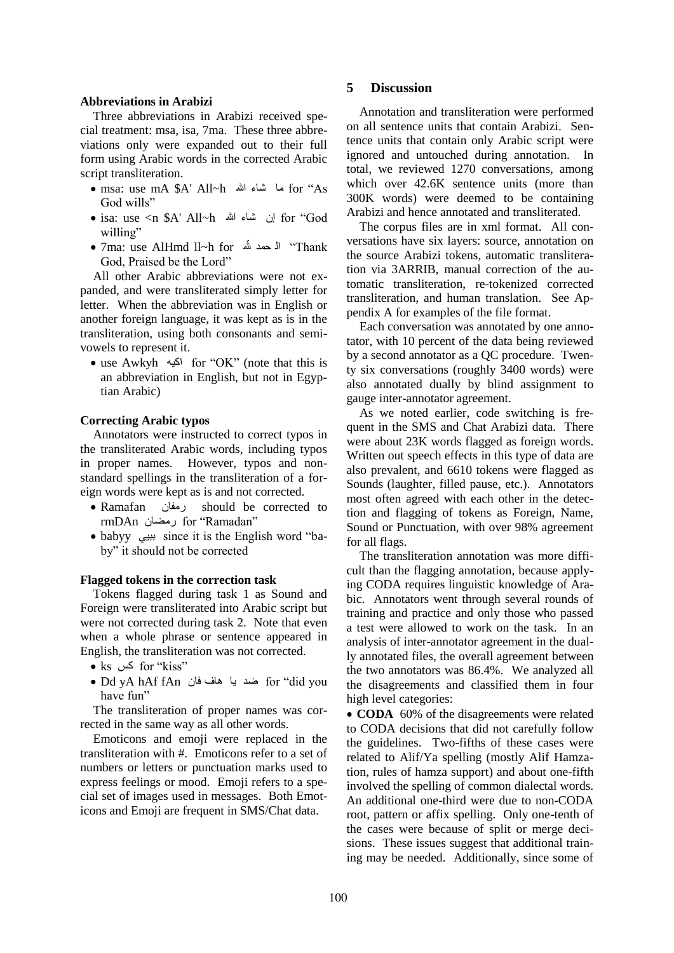#### **Abbreviations in Arabizi**

Three abbreviations in Arabizi received special treatment: msa, isa, 7ma. These three abbreviations only were expanded out to their full form using Arabic words in the corrected Arabic script transliteration.

- msa: use mA \$A' All~h هللا شاء ما for "As God wills"
- isa: use <n \$A' All~h هللا شاء إن for "God willing"
- 7ma: use AlHmd ll~h for حمد ال" Thank God, Praised be the Lord"

All other Arabic abbreviations were not expanded, and were transliterated simply letter for letter. When the abbreviation was in English or another foreign language, it was kept as is in the transliteration, using both consonants and semivowels to represent it.

 use Awkyh اكيه for "OK" (note that this is an abbreviation in English, but not in Egyptian Arabic)

#### **Correcting Arabic typos**

Annotators were instructed to correct typos in the transliterated Arabic words, including typos in proper names. However, typos and nonstandard spellings in the transliteration of a foreign words were kept as is and not corrected.

- Ramafan رمفان should be corrected to rmDAn رمضان for "Ramadan"
- babyy ببيي since it is the English word "baby" it should not be corrected

#### **Flagged tokens in the correction task**

Tokens flagged during task 1 as Sound and Foreign were transliterated into Arabic script but were not corrected during task 2. Note that even when a whole phrase or sentence appeared in English, the transliteration was not corrected.

- ks كس for "kiss"
- Dd yA hAf fAn فان هاف يا ضد for "did you have fun"

The transliteration of proper names was corrected in the same way as all other words.

Emoticons and emoji were replaced in the transliteration with #. Emoticons refer to a set of numbers or letters or punctuation marks used to express feelings or mood. Emoji refers to a special set of images used in messages. Both Emoticons and Emoji are frequent in SMS/Chat data.

## **5 Discussion**

Annotation and transliteration were performed on all sentence units that contain Arabizi. Sentence units that contain only Arabic script were ignored and untouched during annotation. In total, we reviewed 1270 conversations, among which over  $42.6K$  sentence units (more than 300K words) were deemed to be containing Arabizi and hence annotated and transliterated.

The corpus files are in xml format. All conversations have six layers: source, annotation on the source Arabizi tokens, automatic transliteration via 3ARRIB, manual correction of the automatic transliteration, re-tokenized corrected transliteration, and human translation. See Appendix A for examples of the file format.

Each conversation was annotated by one annotator, with 10 percent of the data being reviewed by a second annotator as a QC procedure. Twenty six conversations (roughly 3400 words) were also annotated dually by blind assignment to gauge inter-annotator agreement.

As we noted earlier, code switching is frequent in the SMS and Chat Arabizi data. There were about 23K words flagged as foreign words. Written out speech effects in this type of data are also prevalent, and 6610 tokens were flagged as Sounds (laughter, filled pause, etc.). Annotators most often agreed with each other in the detection and flagging of tokens as Foreign, Name, Sound or Punctuation, with over 98% agreement for all flags.

The transliteration annotation was more difficult than the flagging annotation, because applying CODA requires linguistic knowledge of Arabic. Annotators went through several rounds of training and practice and only those who passed a test were allowed to work on the task. In an analysis of inter-annotator agreement in the dually annotated files, the overall agreement between the two annotators was 86.4%. We analyzed all the disagreements and classified them in four high level categories:

• **CODA** 60% of the disagreements were related to CODA decisions that did not carefully follow the guidelines. Two-fifths of these cases were related to Alif/Ya spelling (mostly Alif Hamzation, rules of hamza support) and about one-fifth involved the spelling of common dialectal words. An additional one-third were due to non-CODA root, pattern or affix spelling. Only one-tenth of the cases were because of split or merge decisions. These issues suggest that additional training may be needed. Additionally, since some of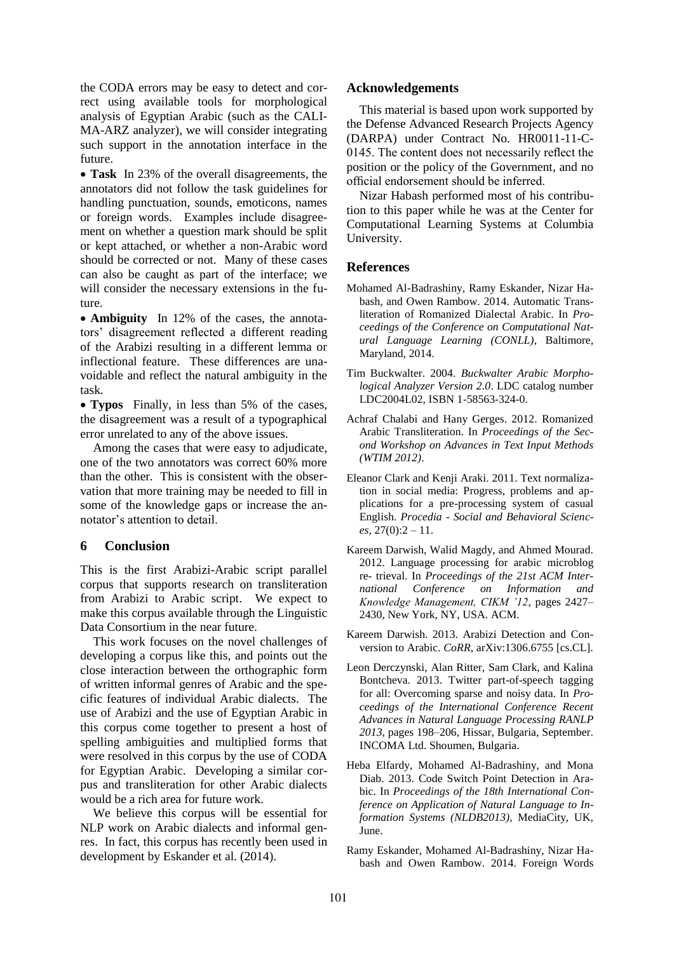the CODA errors may be easy to detect and correct using available tools for morphological analysis of Egyptian Arabic (such as the CALI-MA-ARZ analyzer), we will consider integrating such support in the annotation interface in the future.

 **Task** In 23% of the overall disagreements, the annotators did not follow the task guidelines for handling punctuation, sounds, emoticons, names or foreign words. Examples include disagreement on whether a question mark should be split or kept attached, or whether a non-Arabic word should be corrected or not. Many of these cases can also be caught as part of the interface; we will consider the necessary extensions in the future.

 **Ambiguity** In 12% of the cases, the annotators' disagreement reflected a different reading of the Arabizi resulting in a different lemma or inflectional feature. These differences are unavoidable and reflect the natural ambiguity in the task.

 **Typos** Finally, in less than 5% of the cases, the disagreement was a result of a typographical error unrelated to any of the above issues.

Among the cases that were easy to adjudicate, one of the two annotators was correct 60% more than the other. This is consistent with the observation that more training may be needed to fill in some of the knowledge gaps or increase the annotator's attention to detail.

# **6 Conclusion**

This is the first Arabizi-Arabic script parallel corpus that supports research on transliteration from Arabizi to Arabic script. We expect to make this corpus available through the Linguistic Data Consortium in the near future.

This work focuses on the novel challenges of developing a corpus like this, and points out the close interaction between the orthographic form of written informal genres of Arabic and the specific features of individual Arabic dialects. The use of Arabizi and the use of Egyptian Arabic in this corpus come together to present a host of spelling ambiguities and multiplied forms that were resolved in this corpus by the use of CODA for Egyptian Arabic. Developing a similar corpus and transliteration for other Arabic dialects would be a rich area for future work.

We believe this corpus will be essential for NLP work on Arabic dialects and informal genres. In fact, this corpus has recently been used in development by Eskander et al. (2014).

### **Acknowledgements**

This material is based upon work supported by the Defense Advanced Research Projects Agency (DARPA) under Contract No. HR0011-11-C-0145. The content does not necessarily reflect the position or the policy of the Government, and no official endorsement should be inferred.

Nizar Habash performed most of his contribution to this paper while he was at the Center for Computational Learning Systems at Columbia University.

# **References**

- Mohamed Al-Badrashiny, Ramy Eskander, Nizar Habash, and Owen Rambow. 2014. Automatic Transliteration of Romanized Dialectal Arabic. In *Proceedings of the Conference on Computational Natural Language Learning (CONLL)*, Baltimore, Maryland, 2014.
- Tim Buckwalter. 2004. *Buckwalter Arabic Morphological Analyzer Version 2.0*. LDC catalog number LDC2004L02, ISBN 1-58563-324-0.
- Achraf Chalabi and Hany Gerges. 2012. Romanized Arabic Transliteration. In *Proceedings of the Second Workshop on Advances in Text Input Methods (WTIM 2012)*.
- Eleanor Clark and Kenji Araki. 2011. Text normalization in social media: Progress, problems and applications for a pre-processing system of casual English. *Procedia - Social and Behavioral Sciences,* 27(0):2 – 11.
- Kareem Darwish, Walid Magdy, and Ahmed Mourad. 2012. Language processing for arabic microblog re- trieval. In *Proceedings of the 21st ACM International Conference on Information and Knowledge Management, CIKM '12*, pages 2427– 2430, New York, NY, USA. ACM.
- Kareem Darwish. 2013. Arabizi Detection and Conversion to Arabic. *CoRR*, arXiv:1306.6755 [cs.CL].
- Leon Derczynski, Alan Ritter, Sam Clark, and Kalina Bontcheva. 2013. Twitter part-of-speech tagging for all: Overcoming sparse and noisy data. In *Proceedings of the International Conference Recent Advances in Natural Language Processing RANLP 2013*, pages 198–206, Hissar, Bulgaria, September. INCOMA Ltd. Shoumen, Bulgaria.
- Heba Elfardy, Mohamed Al-Badrashiny, and Mona Diab. 2013. Code Switch Point Detection in Arabic. In *Proceedings of the 18th International Conference on Application of Natural Language to Information Systems (NLDB2013)*, MediaCity, UK, **I**une.
- Ramy Eskander, Mohamed Al-Badrashiny, Nizar Habash and Owen Rambow. 2014. Foreign Words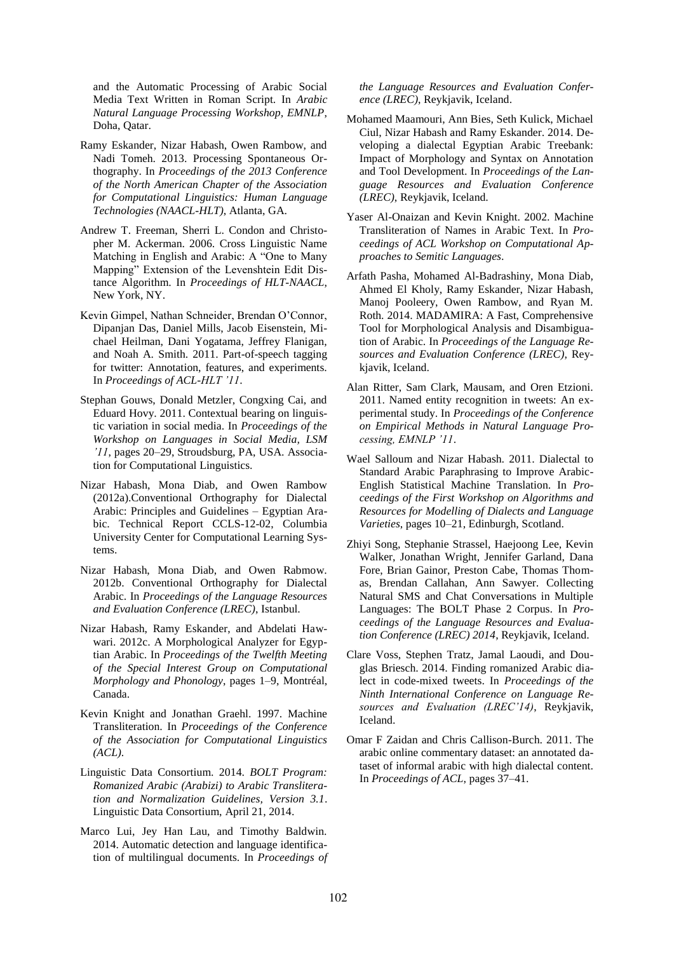and the Automatic Processing of Arabic Social Media Text Written in Roman Script. In *Arabic Natural Language Processing Workshop, EMNLP*, Doha, Qatar.

- Ramy Eskander, Nizar Habash, Owen Rambow, and Nadi Tomeh. 2013. Processing Spontaneous Orthography. In *Proceedings of the 2013 Conference of the North American Chapter of the Association for Computational Linguistics: Human Language Technologies (NAACL-HLT)*, Atlanta, GA.
- Andrew T. Freeman, Sherri L. Condon and Christopher M. Ackerman. 2006. Cross Linguistic Name Matching in English and Arabic: A "One to Many Mapping" Extension of the Levenshtein Edit Distance Algorithm. In *Proceedings of HLT-NAACL*, New York, NY.
- Kevin Gimpel, Nathan Schneider, Brendan O'Connor, Dipanjan Das, Daniel Mills, Jacob Eisenstein, Michael Heilman, Dani Yogatama, Jeffrey Flanigan, and Noah A. Smith. 2011. Part-of-speech tagging for twitter: Annotation, features, and experiments. In *Proceedings of ACL-HLT '11*.
- Stephan Gouws, Donald Metzler, Congxing Cai, and Eduard Hovy. 2011. Contextual bearing on linguistic variation in social media. In *Proceedings of the Workshop on Languages in Social Media, LSM '11*, pages 20–29, Stroudsburg, PA, USA. Association for Computational Linguistics.
- Nizar Habash, Mona Diab, and Owen Rambow (2012a).Conventional Orthography for Dialectal Arabic: Principles and Guidelines – Egyptian Arabic. Technical Report CCLS-12-02, Columbia University Center for Computational Learning Systems.
- Nizar Habash, Mona Diab, and Owen Rabmow. 2012b. Conventional Orthography for Dialectal Arabic. In *Proceedings of the Language Resources and Evaluation Conference (LREC)*, Istanbul.
- Nizar Habash, Ramy Eskander, and Abdelati Hawwari. 2012c. A Morphological Analyzer for Egyptian Arabic. In *Proceedings of the Twelfth Meeting of the Special Interest Group on Computational Morphology and Phonology*, pages 1–9, Montréal, Canada.
- Kevin Knight and Jonathan Graehl. 1997. Machine Transliteration. In *Proceedings of the Conference of the Association for Computational Linguistics (ACL)*.
- Linguistic Data Consortium. 2014. *BOLT Program: Romanized Arabic (Arabizi) to Arabic Transliteration and Normalization Guidelines, Version 3.1*. Linguistic Data Consortium, April 21, 2014.
- Marco Lui, Jey Han Lau, and Timothy Baldwin. 2014. Automatic detection and language identification of multilingual documents. In *Proceedings of*

*the Language Resources and Evaluation Conference (LREC)*, Reykjavik, Iceland.

- Mohamed Maamouri, Ann Bies, Seth Kulick, Michael Ciul, Nizar Habash and Ramy Eskander. 2014. Developing a dialectal Egyptian Arabic Treebank: Impact of Morphology and Syntax on Annotation and Tool Development. In *Proceedings of the Language Resources and Evaluation Conference (LREC)*, Reykjavik, Iceland.
- Yaser Al-Onaizan and Kevin Knight. 2002. Machine Transliteration of Names in Arabic Text. In *Proceedings of ACL Workshop on Computational Approaches to Semitic Languages*.
- Arfath Pasha, Mohamed Al-Badrashiny, Mona Diab, Ahmed El Kholy, Ramy Eskander, Nizar Habash, Manoj Pooleery, Owen Rambow, and Ryan M. Roth. 2014. MADAMIRA: A Fast, Comprehensive Tool for Morphological Analysis and Disambiguation of Arabic. In *Proceedings of the Language Resources and Evaluation Conference (LREC)*, Reykjavik, Iceland.
- Alan Ritter, Sam Clark, Mausam, and Oren Etzioni. 2011. Named entity recognition in tweets: An experimental study. In *Proceedings of the Conference on Empirical Methods in Natural Language Processing, EMNLP '11*.
- Wael Salloum and Nizar Habash. 2011. Dialectal to Standard Arabic Paraphrasing to Improve Arabic-English Statistical Machine Translation. In *Proceedings of the First Workshop on Algorithms and Resources for Modelling of Dialects and Language Varieties*, pages 10–21, Edinburgh, Scotland.
- Zhiyi Song, Stephanie Strassel, Haejoong Lee, Kevin Walker, Jonathan Wright, Jennifer Garland, Dana Fore, Brian Gainor, Preston Cabe, Thomas Thomas, Brendan Callahan, Ann Sawyer. Collecting Natural SMS and Chat Conversations in Multiple Languages: The BOLT Phase 2 Corpus. In *Proceedings of the Language Resources and Evaluation Conference (LREC) 2014*, Reykjavik, Iceland.
- Clare Voss, Stephen Tratz, Jamal Laoudi, and Douglas Briesch. 2014. Finding romanized Arabic dialect in code-mixed tweets. In *Proceedings of the Ninth International Conference on Language Resources and Evaluation (LREC'14)*, Reykjavik, Iceland.
- Omar F Zaidan and Chris Callison-Burch. 2011. The arabic online commentary dataset: an annotated dataset of informal arabic with high dialectal content. In *Proceedings of ACL*, pages 37–41.